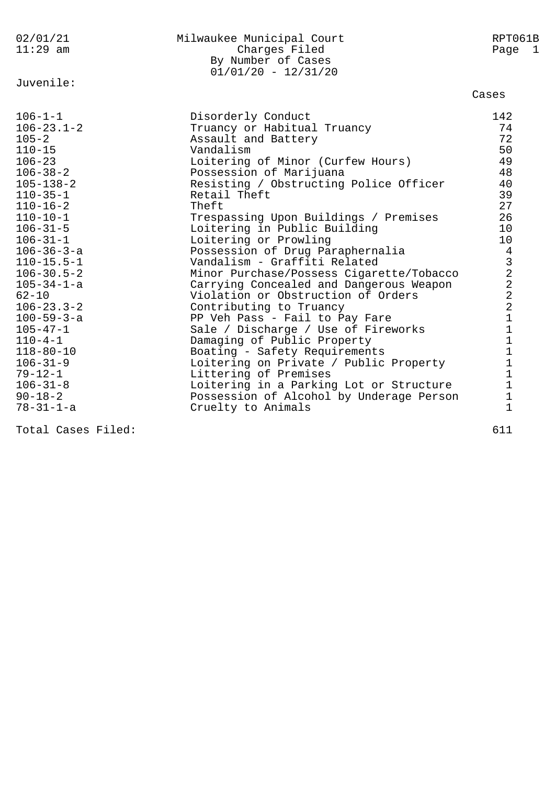| 02/01/21<br>$11:29$ am | Milwaukee Municipal Court<br>Charges Filed<br>By Number of Cases<br>$01/01/20 - 12/31/20$ | RPT061B<br>Page 1                               |
|------------------------|-------------------------------------------------------------------------------------------|-------------------------------------------------|
| Juvenile:              |                                                                                           | Cases                                           |
| $106 - 1 - 1$          |                                                                                           | 142                                             |
| $106 - 23.1 - 2$       | Disorderly Conduct<br>Truancy or Habitual Truancy                                         | 74                                              |
| $105 - 2$              | Assault and Battery                                                                       | 72                                              |
| $110 - 15$             | Vandalism                                                                                 | 50                                              |
| $106 - 23$             | Loitering of Minor (Curfew Hours)                                                         | 49                                              |
| $106 - 38 - 2$         | Possession of Marijuana                                                                   | 48                                              |
| $105 - 138 - 2$        | Resisting / Obstructing Police Officer                                                    | 40                                              |
| $110 - 35 - 1$         | Retail Theft                                                                              | 39                                              |
| $110 - 16 - 2$         | Theft                                                                                     | 27                                              |
| $110 - 10 - 1$         | Trespassing Upon Buildings / Premises                                                     | 26                                              |
| $106 - 31 - 5$         | Loitering in Public Building                                                              | 10                                              |
| $106 - 31 - 1$         | Loitering or Prowling                                                                     | 10                                              |
| $106 - 36 - 3 - a$     | Possession of Drug Paraphernalia                                                          |                                                 |
| $110 - 15.5 - 1$       | Vandalism - Graffiti Related                                                              | $\begin{array}{c} 4 \\ 3 \\ 2 \\ 2 \end{array}$ |
| $106 - 30.5 - 2$       | Minor Purchase/Possess Cigarette/Tobacco                                                  |                                                 |
| $105 - 34 - 1 - a$     | Carrying Concealed and Dangerous Weapon                                                   |                                                 |
| $62 - 10$              | Violation or Obstruction of Orders                                                        | $\frac{2}{2}$                                   |
| $106 - 23.3 - 2$       | Contributing to Truancy                                                                   |                                                 |
| $100 - 59 - 3 - a$     | PP Veh Pass - Fail to Pay Fare                                                            | $\mathbf 1$                                     |
| $105 - 47 - 1$         | Sale / Discharge / Use of Fireworks                                                       | $\mathbf 1$                                     |
| $110 - 4 - 1$          | Damaging of Public Property                                                               | $\mathbf 1$                                     |
| $118 - 80 - 10$        | Boating - Safety Requirements                                                             | $1\,$                                           |
| $106 - 31 - 9$         | Loitering on Private / Public Property                                                    | $\mathbf{1}$                                    |
| $79 - 12 - 1$          | Littering of Premises                                                                     | $\mathbf{1}$                                    |
| $106 - 31 - 8$         | Loitering in a Parking Lot or Structure                                                   | $\mathbf{1}$                                    |
| $90 - 18 - 2$          | Possession of Alcohol by Underage Person                                                  | 1                                               |
| $78 - 31 - 1 - a$      | Cruelty to Animals                                                                        | $\mathbf{1}$                                    |

Total Cases Filed: 611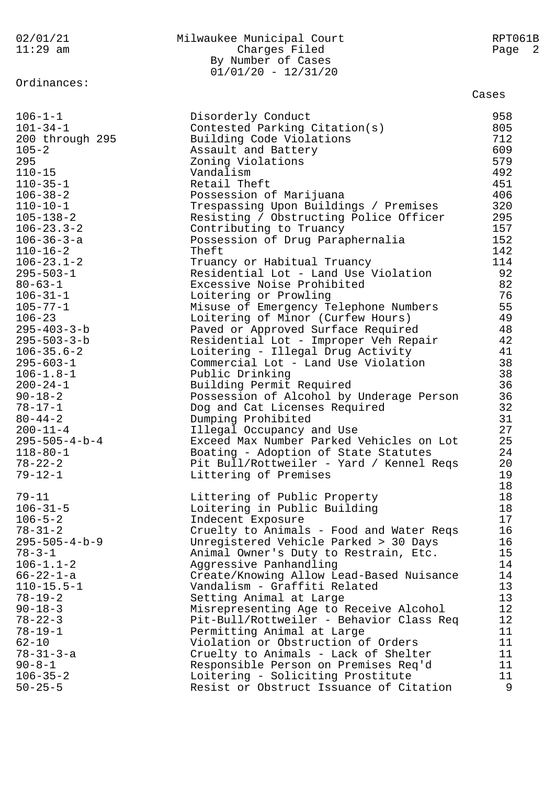| 02/01/21<br>$11:29$ am              | Milwaukee Municipal Court<br>Charges Filed<br>By Number of Cases<br>$01/01/20 - 12/31/20$ | RPT061B<br>Page 2 |
|-------------------------------------|-------------------------------------------------------------------------------------------|-------------------|
| Ordinances:                         |                                                                                           | Cases             |
| $106 - 1 - 1$<br>$101 - 34 - 1$     | Disorderly Conduct<br>Contested Parking Citation(s)                                       | 958<br>805        |
| 200 through 295<br>$105 - 2$        | Building Code Violations<br>Assault and Battery                                           | 712<br>609        |
| 295                                 | Zoning Violations                                                                         | 579               |
| $110 - 15$<br>$110 - 35 - 1$        | Vandalism<br>Retail Theft                                                                 | 492<br>451        |
| $106 - 38 - 2$                      | Possession of Marijuana                                                                   | 406               |
| $110 - 10 - 1$                      | Trespassing Upon Buildings / Premises                                                     | 320               |
| $105 - 138 - 2$<br>$106 - 23.3 - 2$ | Resisting / Obstructing Police Officer<br>Contributing to Truancy                         | 295<br>157        |
| $106 - 36 - 3 - a$                  | Possession of Drug Paraphernalia                                                          | 152               |
| $110 - 16 - 2$                      | Theft                                                                                     | 142               |
| $106 - 23.1 - 2$                    | Truancy or Habitual Truancy                                                               | 114               |
| $295 - 503 - 1$<br>$80 - 63 - 1$    | Residential Lot - Land Use Violation<br>Excessive Noise Prohibited                        | 92<br>82          |
| $106 - 31 - 1$                      | Loitering or Prowling                                                                     | 76                |
| $105 - 77 - 1$                      | Misuse of Emergency Telephone Numbers                                                     | 55                |
| $106 - 23$<br>$295 - 403 - 3 - b$   | Loitering of Minor (Curfew Hours)<br>Paved or Approved Surface Required                   | 49<br>48          |
| $295 - 503 - 3 - b$                 | Residential Lot - Improper Veh Repair                                                     | 42                |
| $106 - 35.6 - 2$                    | Loitering - Illegal Drug Activity                                                         | 41                |
| $295 - 603 - 1$<br>$106 - 1.8 - 1$  | Commercial Lot - Land Use Violation<br>Public Drinking                                    | 38<br>38          |
| $200 - 24 - 1$                      | Building Permit Required                                                                  | 36                |
| $90 - 18 - 2$                       | Possession of Alcohol by Underage Person                                                  | 36                |
| $78 - 17 - 1$                       | Dog and Cat Licenses Required                                                             | 32                |
| $80 - 44 - 2$<br>$200 - 11 - 4$     | Dumping Prohibited<br>Illegal Occupancy and Use                                           | 31<br>27          |
| $295 - 505 - 4 - b - 4$             | Exceed Max Number Parked Vehicles on Lot                                                  | 25                |
| $118 - 80 - 1$                      | Boating - Adoption of State Statutes                                                      | 24                |
| $78 - 22 - 2$<br>$79 - 12 - 1$      | Pit Bull/Rottweiler - Yard / Kennel Regs<br>Littering of Premises                         | 20<br>19          |
|                                     |                                                                                           | 18                |
| $79 - 11$                           | Littering of Public Property                                                              | 18                |
| $106 - 31 - 5$<br>$106 - 5 - 2$     | Loitering in Public Building<br>Indecent Exposure                                         | 18<br>17          |
| $78 - 31 - 2$                       | Cruelty to Animals - Food and Water Reqs                                                  | 16                |
| $295 - 505 - 4 - b - 9$             | Unregistered Vehicle Parked > 30 Days                                                     | 16                |
| $78 - 3 - 1$<br>$106 - 1.1 - 2$     | Animal Owner's Duty to Restrain, Etc.<br>Aggressive Panhandling                           | 15<br>14          |
| $66 - 22 - 1 - a$                   | Create/Knowing Allow Lead-Based Nuisance                                                  | 14                |
| $110 - 15.5 - 1$                    | Vandalism - Graffiti Related                                                              | 13                |
| $78 - 19 - 2$<br>$90 - 18 - 3$      | Setting Animal at Large<br>Misrepresenting Age to Receive Alcohol                         | 13<br>12          |
| $78 - 22 - 3$                       | Pit-Bull/Rottweiler - Behavior Class Req                                                  | 12                |
| $78 - 19 - 1$                       | Permitting Animal at Large                                                                | 11                |
| $62 - 10$                           | Violation or Obstruction of Orders                                                        | 11                |
| $78 - 31 - 3 - a$<br>$90 - 8 - 1$   | Cruelty to Animals - Lack of Shelter<br>Responsible Person on Premises Req'd              | 11<br>11          |
| $106 - 35 - 2$                      | Loitering - Soliciting Prostitute                                                         | 11                |
| $50 - 25 - 5$                       | Resist or Obstruct Issuance of Citation                                                   | 9                 |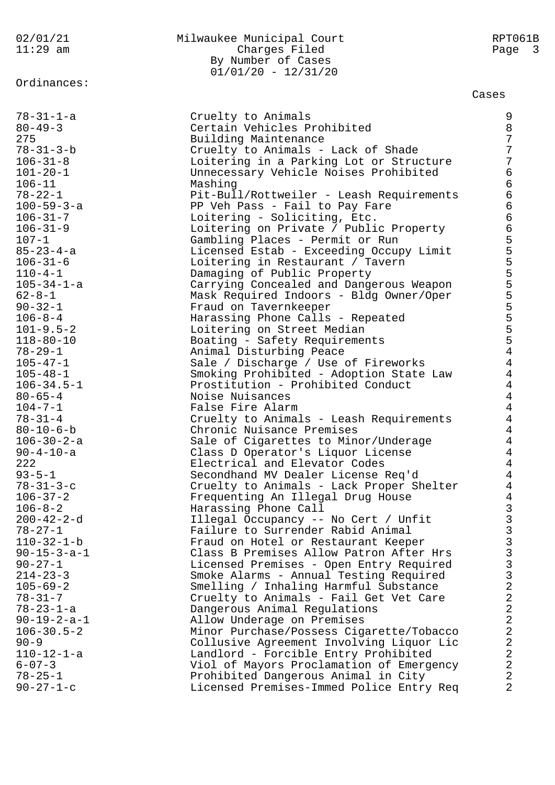Ordinances:

# 02/01/21 Milwaukee Municipal Court RPT061B 11:29 am Charges Filed Page 3 By Number of Cases 01/01/20 - 12/31/20

#### Cases

| $78 - 31 - 1 - a$     | Cruelty to Animals                       | 9                   |
|-----------------------|------------------------------------------|---------------------|
| $80 - 49 - 3$         | Certain Vehicles Prohibited              | 8                   |
| 275                   | Building Maintenance                     | 7                   |
| $78 - 31 - 3 - b$     | Cruelty to Animals - Lack of Shade       | 7                   |
| $106 - 31 - 8$        | Loitering in a Parking Lot or Structure  | 7                   |
| $101 - 20 - 1$        | Unnecessary Vehicle Noises Prohibited    | 6                   |
| $106 - 11$            | Mashing                                  | 6                   |
| $78 - 22 - 1$         |                                          | 6                   |
| $100 - 59 - 3 - a$    | Pit-Bull/Rottweiler - Leash Requirements | 6                   |
|                       | PP Veh Pass - Fail to Pay Fare           |                     |
| $106 - 31 - 7$        | Loitering - Soliciting, Etc.             | 6                   |
| $106 - 31 - 9$        | Loitering on Private / Public Property   | 6                   |
| $107 - 1$             | Gambling Places - Permit or Run          | 5                   |
| $85 - 23 - 4 - a$     | Licensed Estab - Exceeding Occupy Limit  | 5                   |
| $106 - 31 - 6$        | Loitering in Restaurant / Tavern         | 5                   |
| $110 - 4 - 1$         | Damaging of Public Property              | 5                   |
| $105 - 34 - 1 - a$    | Carrying Concealed and Dangerous Weapon  | 5                   |
| $62 - 8 - 1$          | Mask Required Indoors - Bldg Owner/Oper  | 5                   |
| $90 - 32 - 1$         | Fraud on Tavernkeeper                    | 5                   |
| $106 - 8 - 4$         | Harassing Phone Calls - Repeated         |                     |
| $101 - 9.5 - 2$       | Loitering on Street Median               |                     |
| $118 - 80 - 10$       | Boating - Safety Requirements            | 5554                |
| $78 - 29 - 1$         | Animal Disturbing Peace                  |                     |
| $105 - 47 - 1$        | Sale / Discharge / Use of Fireworks      | $\overline{4}$      |
| $105 - 48 - 1$        | Smoking Prohibited - Adoption State Law  | $\overline{4}$      |
| $106 - 34.5 - 1$      | Prostitution - Prohibited Conduct        | $\overline{4}$      |
| $80 - 65 - 4$         | Noise Nuisances                          | $\overline{4}$      |
| $104 - 7 - 1$         | False Fire Alarm                         | $\overline{4}$      |
| $78 - 31 - 4$         | Cruelty to Animals - Leash Requirements  | $\overline{4}$      |
| $80 - 10 - 6 - b$     | Chronic Nuisance Premises                | $\overline{4}$      |
| $106 - 30 - 2 - a$    | Sale of Cigarettes to Minor/Underage     | $\overline{4}$      |
| $90 - 4 - 10 - a$     | Class D Operator's Liquor License        | $\overline{4}$      |
| 222                   | Electrical and Elevator Codes            | $\overline{4}$      |
| $93 - 5 - 1$          | Secondhand MV Dealer License Req'd       | $\overline{4}$      |
| $78 - 31 - 3 - c$     | Cruelty to Animals - Lack Proper Shelter | $\overline{4}$      |
| $106 - 37 - 2$        | Frequenting An Illegal Drug House        |                     |
| $106 - 8 - 2$         | Harassing Phone Call                     | $\overline{4}$<br>3 |
| $200 - 42 - 2 - d$    |                                          | ζ                   |
|                       | Illegal Occupancy -- No Cert / Unfit     |                     |
| $78 - 27 - 1$         | Failure to Surrender Rabid Animal        | 3                   |
| $110 - 32 - 1 - b$    | Fraud on Hotel or Restaurant Keeper      | 3                   |
| $90 - 15 - 3 - a - 1$ | Class B Premises Allow Patron After Hrs  | 3                   |
| $90 - 27 - 1$         | Licensed Premises - Open Entry Required  | 3                   |
| $214 - 23 - 3$        | Smoke Alarms - Annual Testing Required   | 3                   |
| $105 - 69 - 2$        | Smelling / Inhaling Harmful Substance    | 2                   |
| $78 - 31 - 7$         | Cruelty to Animals - Fail Get Vet Care   | 2                   |
| $78 - 23 - 1 - a$     | Dangerous Animal Regulations             | 2                   |
| $90 - 19 - 2 - a - 1$ | Allow Underage on Premises               | 2                   |
| $106 - 30.5 - 2$      | Minor Purchase/Possess Cigarette/Tobacco | 2                   |
| $90 - 9$              | Collusive Agreement Involving Liquor Lic | $\overline{c}$      |
| $110 - 12 - 1 - a$    | Landlord - Forcible Entry Prohibited     | 2                   |
| $6 - 07 - 3$          | Viol of Mayors Proclamation of Emergency | 2                   |
| $78 - 25 - 1$         | Prohibited Dangerous Animal in City      | 2                   |
| $90 - 27 - 1 - c$     | Licensed Premises-Immed Police Entry Req | 2                   |
|                       |                                          |                     |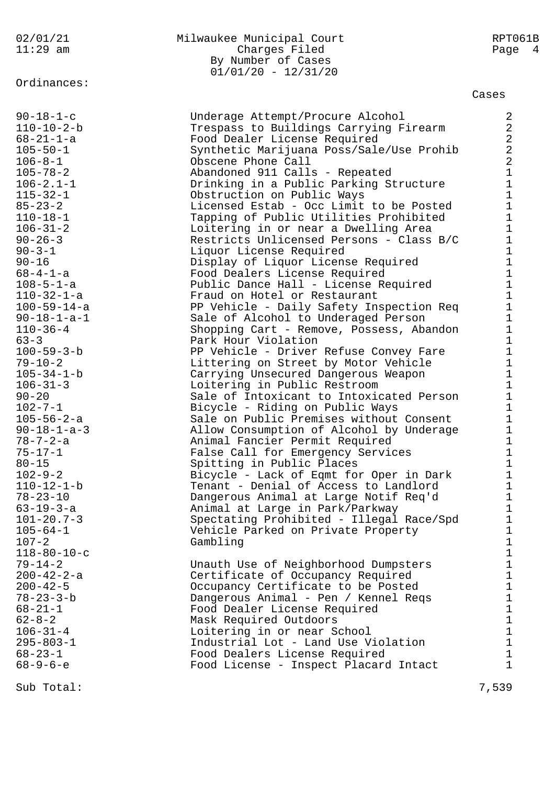Ordinances:

# 02/01/21 Milwaukee Municipal Court RPT061B 11:29 am Charges Filed Page 4 By Number of Cases 01/01/20 - 12/31/20

Cases

| $90 - 18 - 1 - c$<br>$110 - 10 - 2 - b$<br>$68 - 21 - 1 - a$<br>$105 - 50 - 1$<br>$106 - 8 - 1$<br>$105 - 78 - 2$<br>$106 - 2.1 - 1$<br>$115 - 32 - 1$<br>$85 - 23 - 2$<br>$110 - 18 - 1$<br>$106 - 31 - 2$<br>$90 - 26 - 3$<br>$90 - 3 - 1$<br>$90 - 16$<br>$68 - 4 - 1 - a$<br>$108 - 5 - 1 - a$<br>$110 - 32 - 1 - a$<br>$100 - 59 - 14 - a$<br>$90 - 18 - 1 - a - 1$<br>$110 - 36 - 4$<br>$63 - 3$<br>$100 - 59 - 3 - b$<br>$79 - 10 - 2$<br>$105 - 34 - 1 - b$<br>$106 - 31 - 3$<br>$90 - 20$<br>$102 - 7 - 1$<br>$105 - 56 - 2 - a$<br>$90 - 18 - 1 - a - 3$<br>78-7-2-a<br>$75 - 17 - 1$<br>$80 - 15$<br>$102 - 9 - 2$<br>$110 - 12 - 1 - b$<br>$78 - 23 - 10$<br>$63 - 19 - 3 - a$<br>$101 - 20.7 - 3$<br>$105 - 64 - 1$<br>$107 - 2$<br>$118 - 80 - 10 - c$ | Underage Attempt/Procure Alcohol<br>Trespass to Buildings Carrying Firearm<br>Food Dealer License Required<br>Synthetic Marijuana Poss/Sale/Use Prohib<br>Obscene Phone Call<br>Abandoned 911 Calls - Repeated<br>Drinking in a Public Parking Structure<br>Obstruction on Public Ways<br>Licensed Estab - Occ Limit to be Posted<br>Tapping of Public Utilities Prohibited<br>Loitering in or near a Dwelling Area<br>Restricts Unlicensed Persons - Class B/C<br>Liquor License Required<br>Display of Liquor License Required<br>Food Dealers License Required<br>Public Dance Hall - License Required<br>Fraud on Hotel or Restaurant<br>PP Vehicle - Daily Safety Inspection Req<br>Sale of Alcohol to Underaged Person<br>Shopping Cart - Remove, Possess, Abandon<br>Park Hour Violation<br>PP Vehicle - Driver Refuse Convey Fare<br>Littering on Street by Motor Vehicle<br>Carrying Unsecured Dangerous Weapon<br>Loitering in Public Restroom<br>Sale of Intoxicant to Intoxicated Person<br>Bicycle - Riding on Public Ways<br>Sale on Public Premises without Consent<br>Allow Consumption of Alcohol by Underage<br>Animal Fancier Permit Required<br>False Call for Emergency Services<br>Spitting in Public Places<br>Bicycle - Lack of Eqmt for Oper in Dark<br>Tenant - Denial of Access to Landlord<br>Dangerous Animal at Large Notif Req'd<br>Animal at Large in Park/Parkway<br>Spectating Prohibited - Illegal Race/Spd<br>Vehicle Parked on Private Property<br>Gambling | $\overline{2}$<br>$\overline{a}$<br>$\overline{2}$<br>$\overline{2}$<br>$\overline{a}$<br>$\mathbf{1}$<br>$\mathbf{1}$<br>$\mathbf{1}$<br>$\mathbf{1}$<br>$\mathbf{1}$<br>$\mathbf{1}$<br>$\mathbf{1}$<br>$\mathbf{1}$<br>$\mathbf{1}$<br>$\mathbf{1}$<br>$\mathbf 1$<br>$\mathbf{1}$<br>$\mathbf 1$<br>$\mathbf{1}$<br>$\mathbf{1}$<br>$\mathbf{1}$<br>$\mathbf{1}$<br>$\mathbf{1}$<br>$\mathbf{1}$<br>$\mathbf{1}$<br>$\mathbf{1}$<br>$\mathbf{1}$<br>$\mathbf{1}$<br>$\mathbf 1$<br>$\mathbf{1}$<br>$\mathbf{1}$<br>$\mathbf 1$<br>$\mathbf{1}$<br>$\mathbf{1}$<br>$\mathbf{1}$<br>$\mathbf{1}$<br>$\mathbf 1$<br>$\mathbf 1$<br>$\mathbf{1}$<br>$\mathbf 1$ |
|----------------------------------------------------------------------------------------------------------------------------------------------------------------------------------------------------------------------------------------------------------------------------------------------------------------------------------------------------------------------------------------------------------------------------------------------------------------------------------------------------------------------------------------------------------------------------------------------------------------------------------------------------------------------------------------------------------------------------------------------------------------------|--------------------------------------------------------------------------------------------------------------------------------------------------------------------------------------------------------------------------------------------------------------------------------------------------------------------------------------------------------------------------------------------------------------------------------------------------------------------------------------------------------------------------------------------------------------------------------------------------------------------------------------------------------------------------------------------------------------------------------------------------------------------------------------------------------------------------------------------------------------------------------------------------------------------------------------------------------------------------------------------------------------------------------------------------------------------------------------------------------------------------------------------------------------------------------------------------------------------------------------------------------------------------------------------------------------------------------------------------------------------------------------------------------------------------------------------------------------------------------------------------|-----------------------------------------------------------------------------------------------------------------------------------------------------------------------------------------------------------------------------------------------------------------------------------------------------------------------------------------------------------------------------------------------------------------------------------------------------------------------------------------------------------------------------------------------------------------------------------------------------------------------------------------------------------------|
| $79 - 14 - 2$<br>$200 - 42 - 2 - a$<br>$200 - 42 - 5$<br>$78 - 23 - 3 - b$<br>$68 - 21 - 1$<br>$62 - 8 - 2$<br>$106 - 31 - 4$<br>$295 - 803 - 1$<br>$68 - 23 - 1$<br>$68 - 9 - 6 - e$                                                                                                                                                                                                                                                                                                                                                                                                                                                                                                                                                                                | Unauth Use of Neighborhood Dumpsters<br>Certificate of Occupancy Required<br>Occupancy Certificate to be Posted<br>Dangerous Animal - Pen / Kennel Reqs<br>Food Dealer License Required<br>Mask Required Outdoors<br>Loitering in or near School<br>Industrial Lot - Land Use Violation<br>Food Dealers License Required<br>Food License - Inspect Placard Intact                                                                                                                                                                                                                                                                                                                                                                                                                                                                                                                                                                                                                                                                                                                                                                                                                                                                                                                                                                                                                                                                                                                                | 1<br>$\mathbf 1$<br>1<br>$\mathbf 1$<br>$\mathbf{1}$<br>1<br>$\mathbf 1$<br>$\mathbf 1$<br>1<br>$\mathbf{1}$                                                                                                                                                                                                                                                                                                                                                                                                                                                                                                                                                    |
| Sub Total:                                                                                                                                                                                                                                                                                                                                                                                                                                                                                                                                                                                                                                                                                                                                                           |                                                                                                                                                                                                                                                                                                                                                                                                                                                                                                                                                                                                                                                                                                                                                                                                                                                                                                                                                                                                                                                                                                                                                                                                                                                                                                                                                                                                                                                                                                  | 7,539                                                                                                                                                                                                                                                                                                                                                                                                                                                                                                                                                                                                                                                           |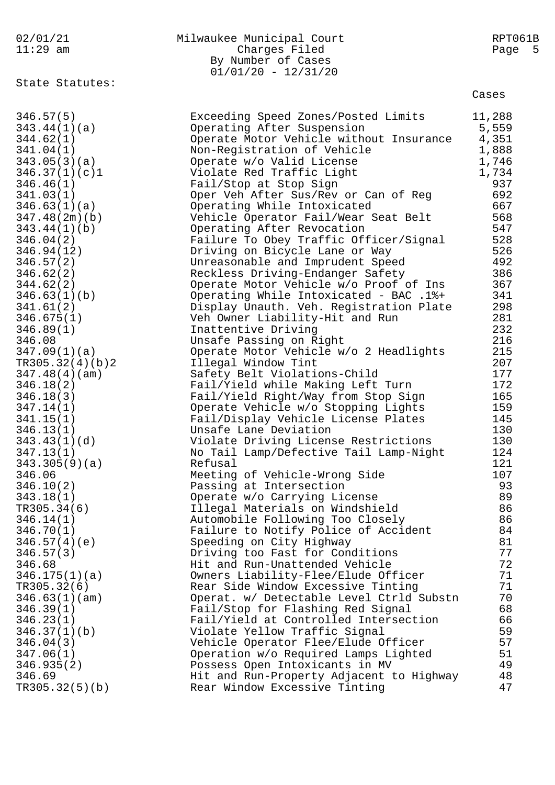| 02/01/21<br>$11:29$ am                                                                                                                                                                                                                                                                                                                                                                                                                                                                    | Milwaukee Municipal Court<br>Charges Filed<br>By Number of Cases<br>$01/01/20 - 12/31/20$                                                                                                                                                                                                                                                                                                                                                                                                                                                                                                                                                                                                                                                                                                                                                                                                                                                                                                                                                                                                                                             | RPT061B<br>Page<br>- 5                                                                                                                                                                                                                    |
|-------------------------------------------------------------------------------------------------------------------------------------------------------------------------------------------------------------------------------------------------------------------------------------------------------------------------------------------------------------------------------------------------------------------------------------------------------------------------------------------|---------------------------------------------------------------------------------------------------------------------------------------------------------------------------------------------------------------------------------------------------------------------------------------------------------------------------------------------------------------------------------------------------------------------------------------------------------------------------------------------------------------------------------------------------------------------------------------------------------------------------------------------------------------------------------------------------------------------------------------------------------------------------------------------------------------------------------------------------------------------------------------------------------------------------------------------------------------------------------------------------------------------------------------------------------------------------------------------------------------------------------------|-------------------------------------------------------------------------------------------------------------------------------------------------------------------------------------------------------------------------------------------|
|                                                                                                                                                                                                                                                                                                                                                                                                                                                                                           |                                                                                                                                                                                                                                                                                                                                                                                                                                                                                                                                                                                                                                                                                                                                                                                                                                                                                                                                                                                                                                                                                                                                       | Cases                                                                                                                                                                                                                                     |
| State Statutes:<br>346.57(5)<br>343.44(1)(a)<br>344.62(1)<br>341.04(1)<br>343.05(3)(a)<br>346.37(1)(c)1<br>346.46(1)<br>341.03(1)<br>346.63(1)(a)<br>347.48(2m)(b)<br>343.44(1)(b)<br>346.04(2)<br>346.94(12)<br>346.57(2)<br>346.62(2)<br>344.62(2)<br>346.63(1)(b)<br>341.61(2)<br>346.675(1)<br>346.89(1)<br>346.08<br>347.09(1)(a)<br>TR305.32(4)(b)2<br>347.48(4)(am)<br>346.18(2)<br>346.18(3)<br>347.14(1)<br>341.15(1)<br>346.13(1)<br>343.43(1)(d)<br>347.13(1)<br>343.305(9)(a) | Exceeding Speed Zones/Posted Limits<br>Operating After Suspension<br>Operate Motor Vehicle without Insurance<br>Non-Registration of Vehicle<br>Operate w/o Valid License<br>Violate Red Traffic Light<br>Fail/Stop at Stop Sign<br>Oper Veh After Sus/Rev or Can of Reg<br>Operating While Intoxicated<br>Vehicle Operator Fail/Wear Seat Belt<br>Operating After Revocation<br>Failure To Obey Traffic Officer/Signal<br>Driving on Bicycle Lane or Way<br>Unreasonable and Imprudent Speed<br>Reckless Driving-Endanger Safety<br>Operate Motor Vehicle w/o Proof of Ins<br>Operating While Intoxicated - BAC .1%+<br>Display Unauth. Veh. Registration Plate<br>Veh Owner Liability-Hit and Run<br>Inattentive Driving<br>Unsafe Passing on Right<br>Operate Motor Vehicle w/o 2 Headlights<br>Illegal Window Tint<br>Safety Belt Violations-Child<br>Fail/Yield while Making Left Turn<br>Fail/Yield Right/Way from Stop Sign<br>Operate Vehicle w/o Stopping Lights<br>Fail/Display Vehicle License Plates<br>Unsafe Lane Deviation<br>Violate Driving License Restrictions<br>No Tail Lamp/Defective Tail Lamp-Night<br>Refusal | 11,288<br>5,559<br>4,351<br>1,888<br>1,746<br>1,734<br>937<br>692<br>667<br>568<br>547<br>528<br>526<br>492<br>386<br>367<br>341<br>298<br>281<br>232<br>216<br>215<br>207<br>177<br>172<br>165<br>159<br>145<br>130<br>130<br>124<br>121 |
| 346.06                                                                                                                                                                                                                                                                                                                                                                                                                                                                                    | Meeting of Vehicle-Wrong Side                                                                                                                                                                                                                                                                                                                                                                                                                                                                                                                                                                                                                                                                                                                                                                                                                                                                                                                                                                                                                                                                                                         | 107                                                                                                                                                                                                                                       |
| 346.10(2)                                                                                                                                                                                                                                                                                                                                                                                                                                                                                 | Passing at Intersection                                                                                                                                                                                                                                                                                                                                                                                                                                                                                                                                                                                                                                                                                                                                                                                                                                                                                                                                                                                                                                                                                                               | 93                                                                                                                                                                                                                                        |
| 343.18(1)                                                                                                                                                                                                                                                                                                                                                                                                                                                                                 | Operate w/o Carrying License                                                                                                                                                                                                                                                                                                                                                                                                                                                                                                                                                                                                                                                                                                                                                                                                                                                                                                                                                                                                                                                                                                          | 89                                                                                                                                                                                                                                        |
| TR305.34(6)                                                                                                                                                                                                                                                                                                                                                                                                                                                                               | Illegal Materials on Windshield                                                                                                                                                                                                                                                                                                                                                                                                                                                                                                                                                                                                                                                                                                                                                                                                                                                                                                                                                                                                                                                                                                       | 86                                                                                                                                                                                                                                        |
| 346.14(1)                                                                                                                                                                                                                                                                                                                                                                                                                                                                                 | Automobile Following Too Closely                                                                                                                                                                                                                                                                                                                                                                                                                                                                                                                                                                                                                                                                                                                                                                                                                                                                                                                                                                                                                                                                                                      | 86                                                                                                                                                                                                                                        |
| 346.70(1)                                                                                                                                                                                                                                                                                                                                                                                                                                                                                 | Failure to Notify Police of Accident                                                                                                                                                                                                                                                                                                                                                                                                                                                                                                                                                                                                                                                                                                                                                                                                                                                                                                                                                                                                                                                                                                  | 84                                                                                                                                                                                                                                        |
| 346.57(4)(e)                                                                                                                                                                                                                                                                                                                                                                                                                                                                              | Speeding on City Highway                                                                                                                                                                                                                                                                                                                                                                                                                                                                                                                                                                                                                                                                                                                                                                                                                                                                                                                                                                                                                                                                                                              | 81                                                                                                                                                                                                                                        |
| 346.57(3)                                                                                                                                                                                                                                                                                                                                                                                                                                                                                 | Driving too Fast for Conditions                                                                                                                                                                                                                                                                                                                                                                                                                                                                                                                                                                                                                                                                                                                                                                                                                                                                                                                                                                                                                                                                                                       | 77                                                                                                                                                                                                                                        |
| 346.68                                                                                                                                                                                                                                                                                                                                                                                                                                                                                    | Hit and Run-Unattended Vehicle                                                                                                                                                                                                                                                                                                                                                                                                                                                                                                                                                                                                                                                                                                                                                                                                                                                                                                                                                                                                                                                                                                        | 72                                                                                                                                                                                                                                        |
| 346.175(1)(a)                                                                                                                                                                                                                                                                                                                                                                                                                                                                             | Owners Liability-Flee/Elude Officer                                                                                                                                                                                                                                                                                                                                                                                                                                                                                                                                                                                                                                                                                                                                                                                                                                                                                                                                                                                                                                                                                                   | 71                                                                                                                                                                                                                                        |
| TR305.32(6)                                                                                                                                                                                                                                                                                                                                                                                                                                                                               | Rear Side Window Excessive Tinting                                                                                                                                                                                                                                                                                                                                                                                                                                                                                                                                                                                                                                                                                                                                                                                                                                                                                                                                                                                                                                                                                                    | 71                                                                                                                                                                                                                                        |
| 346.63(1)(am)                                                                                                                                                                                                                                                                                                                                                                                                                                                                             | Operat. w/ Detectable Level Ctrld Substn                                                                                                                                                                                                                                                                                                                                                                                                                                                                                                                                                                                                                                                                                                                                                                                                                                                                                                                                                                                                                                                                                              | 70                                                                                                                                                                                                                                        |
| 346.39(1)                                                                                                                                                                                                                                                                                                                                                                                                                                                                                 | Fail/Stop for Flashing Red Signal                                                                                                                                                                                                                                                                                                                                                                                                                                                                                                                                                                                                                                                                                                                                                                                                                                                                                                                                                                                                                                                                                                     | 68                                                                                                                                                                                                                                        |
| 346.23(1)                                                                                                                                                                                                                                                                                                                                                                                                                                                                                 | Fail/Yield at Controlled Intersection                                                                                                                                                                                                                                                                                                                                                                                                                                                                                                                                                                                                                                                                                                                                                                                                                                                                                                                                                                                                                                                                                                 | 66                                                                                                                                                                                                                                        |
| 346.37(1)(b)                                                                                                                                                                                                                                                                                                                                                                                                                                                                              | Violate Yellow Traffic Signal                                                                                                                                                                                                                                                                                                                                                                                                                                                                                                                                                                                                                                                                                                                                                                                                                                                                                                                                                                                                                                                                                                         | 59                                                                                                                                                                                                                                        |
| 346.04(3)                                                                                                                                                                                                                                                                                                                                                                                                                                                                                 | Vehicle Operator Flee/Elude Officer                                                                                                                                                                                                                                                                                                                                                                                                                                                                                                                                                                                                                                                                                                                                                                                                                                                                                                                                                                                                                                                                                                   | 57                                                                                                                                                                                                                                        |
| 347.06(1)                                                                                                                                                                                                                                                                                                                                                                                                                                                                                 | Operation w/o Required Lamps Lighted                                                                                                                                                                                                                                                                                                                                                                                                                                                                                                                                                                                                                                                                                                                                                                                                                                                                                                                                                                                                                                                                                                  | 51                                                                                                                                                                                                                                        |
| 346.935(2)                                                                                                                                                                                                                                                                                                                                                                                                                                                                                | Possess Open Intoxicants in MV                                                                                                                                                                                                                                                                                                                                                                                                                                                                                                                                                                                                                                                                                                                                                                                                                                                                                                                                                                                                                                                                                                        | 49                                                                                                                                                                                                                                        |
| 346.69                                                                                                                                                                                                                                                                                                                                                                                                                                                                                    | Hit and Run-Property Adjacent to Highway                                                                                                                                                                                                                                                                                                                                                                                                                                                                                                                                                                                                                                                                                                                                                                                                                                                                                                                                                                                                                                                                                              | 48                                                                                                                                                                                                                                        |
| TR305.32(5)(b)                                                                                                                                                                                                                                                                                                                                                                                                                                                                            | Rear Window Excessive Tinting                                                                                                                                                                                                                                                                                                                                                                                                                                                                                                                                                                                                                                                                                                                                                                                                                                                                                                                                                                                                                                                                                                         | 47                                                                                                                                                                                                                                        |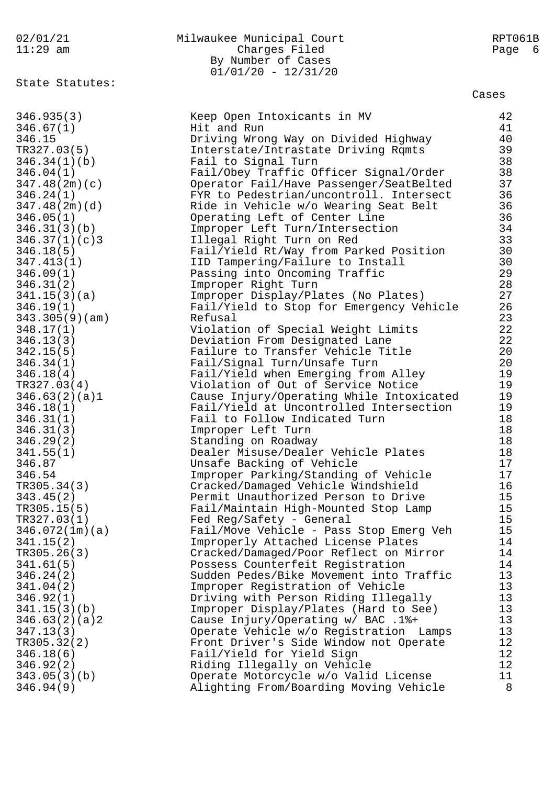02/01/21 Milwaukee Municipal Court RPT061B 11:29 am Charges Filed Page 6 By Number of Cases 01/01/20 - 12/31/20 State Statutes: Cases 346.935(3) Keep Open Intoxicants in MV 42 346.67(1) Hit and Run 41 346.15 Driving Wrong Way on Divided Highway 40 TR327.03(5) Interstate/Intrastate Driving Rqmts 39 346.34(1)(b) Fail to Signal Turn 38 346.04(1) Fail/Obey Traffic Officer Signal/Order 38 347.48(2m)(c) Operator Fail/Have Passenger/SeatBelted 37 346.24(1) FYR to Pedestrian/uncontroll. Intersect 36 347.48(2m)(d) Ride in Vehicle w/o Wearing Seat Belt 36 346.05(1) Operating Left of Center Line 36 346.31(3)(b) Improper Left Turn/Intersection 34 346.37(1)(c)3 Illegal Right Turn on Red 33 346.18(5) Fail/Yield Rt/Way from Parked Position 30 347.413(1) IID Tampering/Failure to Install 30 346.09(1) Passing into Oncoming Traffic 29 346.31(2) Improper Right Turn 28 341.15(3)(a) Improper Display/Plates (No Plates) 27 346.19(1) Fail/Yield to Stop for Emergency Vehicle 26 343.305(9)(am) Refusal 23 348.17(1) Violation of Special Weight Limits 22 346.13(3) Deviation From Designated Lane 22 342.15(5) Failure to Transfer Vehicle Title 20 346.34(1) Fail/Signal Turn/Unsafe Turn 20 346.18(4) Fail/Yield when Emerging from Alley 19 TR327.03(4) Violation of Out of Service Notice 19 346.63(2)(a)1 Cause Injury/Operating While Intoxicated 19 346.18(1) Fail/Yield at Uncontrolled Intersection 19 346.31(1) Fail to Follow Indicated Turn 18 346.31(3) Improper Left Turn 18 346.29(2) Standing on Roadway 18 341.55(1) Dealer Misuse/Dealer Vehicle Plates 18 346.87 Unsafe Backing of Vehicle 17 346.54 Improper Parking/Standing of Vehicle 17 TR305.34(3) Cracked/Damaged Vehicle Windshield 16 343.45(2) Permit Unauthorized Person to Drive 15 TR305.15(5) Fail/Maintain High-Mounted Stop Lamp 15 TR327.03(1) Fed Reg/Safety - General 15 346.072(1m)(a) Fail/Move Vehicle - Pass Stop Emerg Veh 15 341.15(2) Improperly Attached License Plates 14 TR305.26(3) Cracked/Damaged/Poor Reflect on Mirror 14 341.61(5) Possess Counterfeit Registration 14 346.24(2) Sudden Pedes/Bike Movement into Traffic 13 341.04(2) Improper Registration of Vehicle 13 346.92(1) Driving with Person Riding Illegally 13 341.15(3)(b) Improper Display/Plates (Hard to See) 13 346.63(2)(a)2 Cause Injury/Operating w/ BAC .1%+ 13 347.13(3) Operate Vehicle w/o Registration Lamps 13 TR305.32(2) Front Driver's Side Window not Operate 12 346.18(6) Fail/Yield for Yield Sign 12 346.92(2) Riding Illegally on Vehicle 12 343.05(3)(b) Operate Motorcycle w/o Valid License 11 346.94(9) Alighting From/Boarding Moving Vehicle 8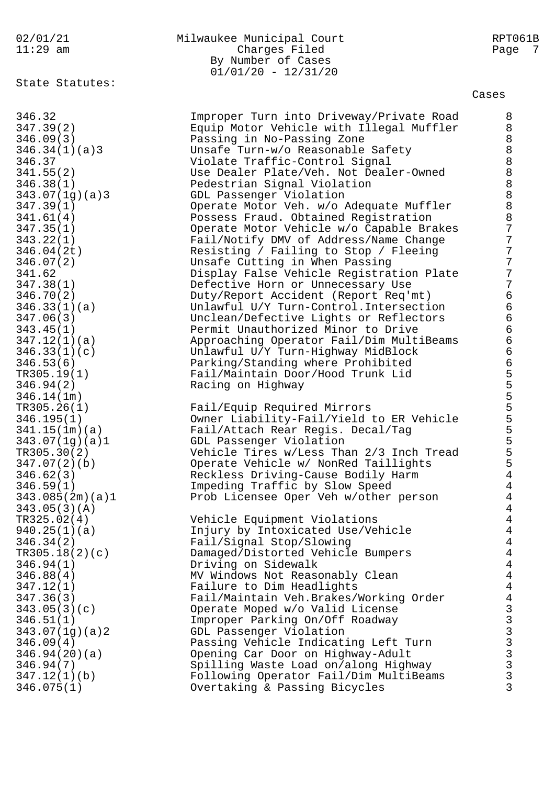02/01/21 Milwaukee Municipal Court RPT061B 11:29 am Charges Filed Page 7 By Number of Cases 01/01/20 - 12/31/20 State Statutes: Cases 346.32 Improper Turn into Driveway/Private Road 8 347.39(2) Equip Motor Vehicle with Illegal Muffler 8 346.09(3) Passing in No-Passing Zone 8 346.34(1)(a)3 Unsafe Turn-w/o Reasonable Safety 8 346.37 Violate Traffic-Control Signal 8 341.55(2) Use Dealer Plate/Veh. Not Dealer-Owned 8 346.38(1) Pedestrian Signal Violation 8 343.07(1g)(a)3 GDL Passenger Violation 8 347.39(1) Operate Motor Veh. w/o Adequate Muffler 8 341.61(4) Possess Fraud. Obtained Registration 8 347.35(1) Operate Motor Vehicle w/o Capable Brakes 7 343.22(1) Fail/Notify DMV of Address/Name Change 7 346.04(2t) Resisting / Failing to Stop / Fleeing 7 346.07(2) Unsafe Cutting in When Passing 7 341.62 Display False Vehicle Registration Plate 7 347.38(1) Defective Horn or Unnecessary Use 7 346.70(2) Duty/Report Accident (Report Req'mt) 6 346.33(1)(a) Unlawful U/Y Turn-Control.Intersection 6 347.06(3) Unclean/Defective Lights or Reflectors 6 343.45(1) Permit Unauthorized Minor to Drive 6 347.12(1)(a) Approaching Operator Fail/Dim MultiBeams 6 346.33(1)(c) Unlawful U/Y Turn-Highway MidBlock 6 346.53(6) Parking/Standing where Prohibited 6 TR305.19(1) Fail/Maintain Door/Hood Trunk Lid 5 346.94(2) Racing on Highway 5 346.14(1m) 5 TR305.26(1) Fail/Equip Required Mirrors 5 346.195(1) Owner Liability-Fail/Yield to ER Vehicle 5 341.15(1m)(a) Fail/Attach Rear Regis. Decal/Tag 5 343.07(1g)(a)1 GDL Passenger Violation 5 TR305.30(2) Vehicle Tires w/Less Than 2/3 Inch Tread 5 347.07(2)(b) Operate Vehicle w/ NonRed Taillights 5 346.62(3) Reckless Driving-Cause Bodily Harm 4 346.59(1) Impeding Traffic by Slow Speed 4 343.085(2m)(a)1 Prob Licensee Oper Veh w/other person 4 343.05(3)(A) 4 TR325.02(4) Vehicle Equipment Violations 4 940.25(1)(a) Injury by Intoxicated Use/Vehicle 4 346.34(2) Fail/Signal Stop/Slowing 4 TR305.18(2)(c) Damaged/Distorted Vehicle Bumpers 4 346.94(1) Driving on Sidewalk 4 346.88(4) MV Windows Not Reasonably Clean 4 347.12(1) Failure to Dim Headlights 4 347.36(3) Fail/Maintain Veh.Brakes/Working Order 4 343.05(3)(c) Operate Moped w/o Valid License 3 346.51(1) Improper Parking On/Off Roadway 3 343.07(1g)(a)2 GDL Passenger Violation 3 346.09(4) Passing Vehicle Indicating Left Turn 3 346.94(20)(a) Opening Car Door on Highway-Adult 3 346.94(7) Spilling Waste Load on/along Highway 3 347.12(1)(b) Following Operator Fail/Dim MultiBeams 3 346.075(1) Overtaking & Passing Bicycles 3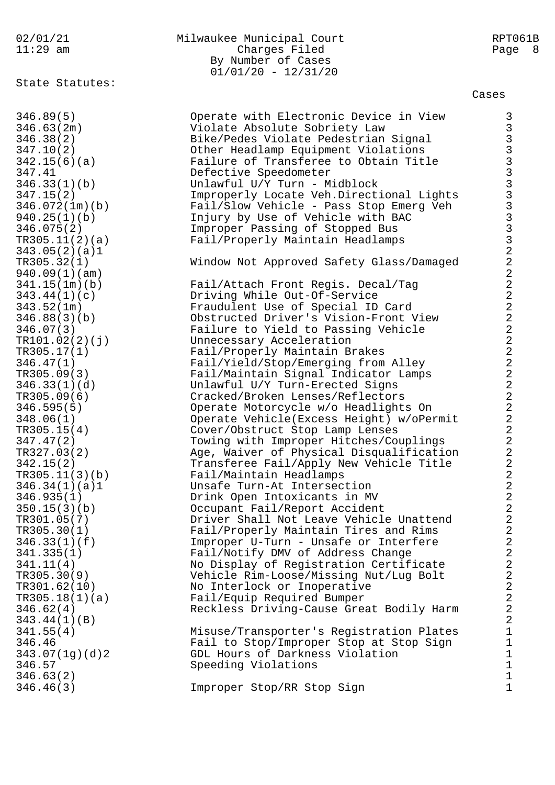### 02/01/21 Milwaukee Municipal Court RPT061B 11:29 am Charges Filed Page 8 By Number of Cases 01/01/20 - 12/31/20

State Statutes:

346.89(5) Operate with Electronic Device in View 3 346.63(2m) Violate Absolute Sobriety Law 3 346.38(2) Bike/Pedes Violate Pedestrian Signal 3

347.10(2) Other Headlamp Equipment Violations 3 342.15(6)(a) Failure of Transferee to Obtain Title 3 347.41 Defective Speedometer 3 346.33(1)(b) Unlawful U/Y Turn - Midblock 3 347.15(2) Improperly Locate Veh.Directional Lights 3 346.072(1m)(b) Fail/Slow Vehicle - Pass Stop Emerg Veh 3 940.25(1)(b) Thjury by Use of Vehicle with BAC 3 346.075(2) Improper Passing of Stopped Bus 3 TR305.11(2)(a) Fail/Properly Maintain Headlamps 3 343.05(2)(a)1 2 TR305.32(1) Window Not Approved Safety Glass/Damaged 2 940.09(1)(am) 2 341.15(1m)(b) Fail/Attach Front Regis. Decal/Tag 2 343.44(1)(c) Driving While Out-Of-Service 2 343.52(1m) Fraudulent Use of Special ID Card 2 346.88(3)(b) Obstructed Driver's Vision-Front View 2 346.07(3) Failure to Yield to Passing Vehicle 2 TR101.02(2)(j) Unnecessary Acceleration 2 TR305.17(1) Fail/Properly Maintain Brakes 2 346.47(1) Fail/Yield/Stop/Emerging from Alley 2 TR305.09(3) Fail/Maintain Signal Indicator Lamps 2 346.33(1)(d) Unlawful U/Y Turn-Erected Signs 2 TR305.09(6) Cracked/Broken Lenses/Reflectors 2 346.595(5) Operate Motorcycle w/o Headlights On 2 348.06(1) Operate Vehicle(Excess Height) w/oPermit 2 TR305.15(4) Cover/Obstruct Stop Lamp Lenses 2 347.47(2) Towing with Improper Hitches/Couplings 2 TR327.03(2) Age, Waiver of Physical Disqualification 2 342.15(2) Transferee Fail/Apply New Vehicle Title 2 TR305.11(3)(b) Fail/Maintain Headlamps 2 346.34(1)(a)1 Unsafe Turn-At Intersection 2 346.935(1) Drink Open Intoxicants in MV 2 350.15(3)(b) Occupant Fail/Report Accident 2 TR301.05(7) Driver Shall Not Leave Vehicle Unattend 2 TR305.30(1) Fail/Properly Maintain Tires and Rims 2 346.33(1)(f) Improper U-Turn - Unsafe or Interfere 2 341.335(1) Fail/Notify DMV of Address Change 2 341.11(4) No Display of Registration Certificate 2 TR305.30(9) Vehicle Rim-Loose/Missing Nut/Lug Bolt 2 TR301.62(10) No Interlock or Inoperative 2 TR305.18(1)(a) Fail/Equip Required Bumper 2 346.62(4) Reckless Driving-Cause Great Bodily Harm 2 343.44(1)(B) 2 341.55(4) Misuse/Transporter's Registration Plates 1 346.46 Fail to Stop/Improper Stop at Stop Sign 1 343.07(1g)(d)2 GDL Hours of Darkness Violation 1 346.57 Speeding Violations 346.57  $346.63(2)$  1 346.46(3) Tmproper Stop/RR Stop Sign 1

Cases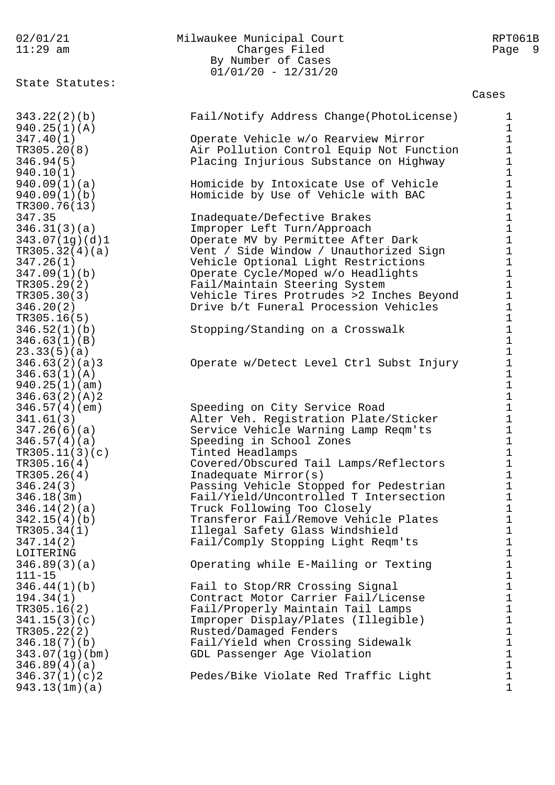02/01/21 Milwaukee Municipal Court RPT061B 11:29 am Charges Filed Page 9 By Number of Cases 01/01/20 - 12/31/20 State Statutes: Cases 343.22(2)(b) Fail/Notify Address Change(PhotoLicense) 1  $940.25(1)(A)$  1 347.40(1) Operate Vehicle w/o Rearview Mirror 1 TR305.20(8) Air Pollution Control Equip Not Function 1 346.94(5) Placing Injurious Substance on Highway 1  $940.10(1)$  1 940.10(1)<br>
940.09(1)(a) Homicide by Intoxicate Use of Vehicle 1<br>
940.09(1)(b) Homicide by Use of Vehicle with BAC<br>
TR300.76(13) 940.09(1)(b) Homicide by Use of Vehicle with BAC 1  $TR300.76(13)$  1 347.35 Inadequate/Defective Brakes 1 346.31(3)(a) Improper Left Turn/Approach 1 343.07(1g)(d)1 Operate MV by Permittee After Dark 1 TR305.32(4)(a) Vent / Side Window / Unauthorized Sign 1 347.26(1) Vehicle Optional Light Restrictions 1 347.09(1)(b) Operate Cycle/Moped w/o Headlights 1 TR305.29(2) Fail/Maintain Steering System 1 TR305.30(3) Vehicle Tires Protrudes >2 Inches Beyond 1 346.20(2) Drive b/t Funeral Procession Vehicles 1  $TR305.16(5)$  1 346.52(1)(b) Stopping/Standing on a Crosswalk 1 346.52(1)(b) Stopping/Standing on a Crosswalk 1<br>346.63(1)(B) 52(1)(B) 1<br>23.33(5)(a) 1 23.33(5)(a) 1 346.63(2)(a)3 Operate w/Detect Level Ctrl Subst Injury 1  $346.63(1)(A)$  1<br>940.25(1)(am) 1  $940.25(1)(am)$  1 346.63(2)(A)2 1 346.57(4)(em) Speeding on City Service Road 1 341.61(3) Alter Veh. Registration Plate/Sticker 1 347.26(6)(a) Service Vehicle Warning Lamp Reqm'ts 1 346.57(4)(a) Speeding in School Zones 1 TR305.11(3)(c) Tinted Headlamps 1 TR305.16(4) Covered/Obscured Tail Lamps/Reflectors 1 TR305.26(4) Thadequate Mirror(s) 1 346.24(3) Passing Vehicle Stopped for Pedestrian 1 346.18(3m) Fail/Yield/Uncontrolled T Intersection 1 346.14(2)(a) Truck Following Too Closely 1 342.15(4)(b) Transferor Fail/Remove Vehicle Plates 1 TR305.34(1) Illegal Safety Glass Windshield 1 347.14(2) Fail/Comply Stopping Light Reqm'ts 1 LOITERING 1 346.89(3)(a) Operating while E-Mailing or Texting 1  $111-15$  1 346.44(1)(b) Fail to Stop/RR Crossing Signal 1 194.34(1) Contract Motor Carrier Fail/License 1 TR305.16(2) Fail/Properly Maintain Tail Lamps 1 341.15(3)(c) Improper Display/Plates (Illegible) 1 TR305.22(2) Rusted/Damaged Fenders 1 346.18(7)(b) Fail/Yield when Crossing Sidewalk 1 343.07(1g)(bm) GDL Passenger Age Violation 1  $346.89(4)(a)$  1  $346.89(4)(a)$ <br> $346.37(1)(c)2$  Pedes/Bike Violate Red Traffic Light 1<br>943.13(1m)(a) 1 943.13(1m)(a) 1